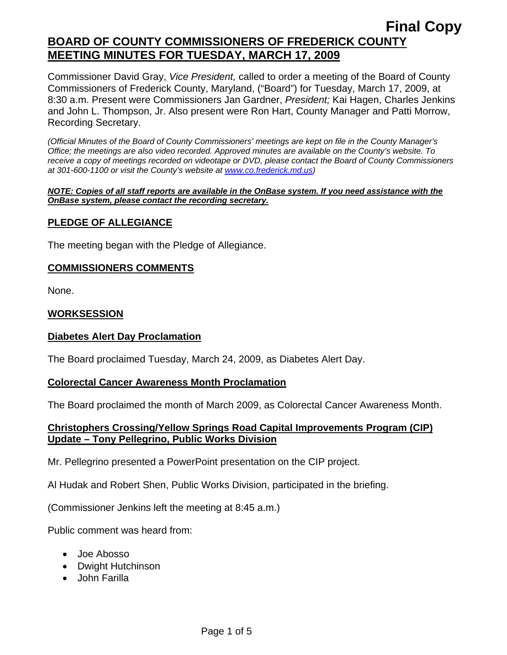Commissioner David Gray, *Vice President,* called to order a meeting of the Board of County Commissioners of Frederick County, Maryland, ("Board") for Tuesday, March 17, 2009, at 8:30 a.m. Present were Commissioners Jan Gardner, *President;* Kai Hagen, Charles Jenkins and John L. Thompson, Jr. Also present were Ron Hart, County Manager and Patti Morrow, Recording Secretary.

*(Official Minutes of the Board of County Commissioners' meetings are kept on file in the County Manager's Office; the meetings are also video recorded. Approved minutes are available on the County's website. To receive a copy of meetings recorded on videotape or DVD, please contact the Board of County Commissioners at 301-600-1100 or visit the County's website at [www.co.frederick.md.us\)](http://www.co.frederick.md.us/)* 

#### *NOTE: Copies of all staff reports are available in the OnBase system. If you need assistance with the OnBase system, please contact the recording secretary.*

# **PLEDGE OF ALLEGIANCE**

The meeting began with the Pledge of Allegiance.

### **COMMISSIONERS COMMENTS**

None.

### **WORKSESSION**

### **Diabetes Alert Day Proclamation**

The Board proclaimed Tuesday, March 24, 2009, as Diabetes Alert Day.

#### **Colorectal Cancer Awareness Month Proclamation**

The Board proclaimed the month of March 2009, as Colorectal Cancer Awareness Month.

### **Christophers Crossing/Yellow Springs Road Capital Improvements Program (CIP) Update – Tony Pellegrino, Public Works Division**

Mr. Pellegrino presented a PowerPoint presentation on the CIP project.

Al Hudak and Robert Shen, Public Works Division, participated in the briefing.

(Commissioner Jenkins left the meeting at 8:45 a.m.)

Public comment was heard from:

- Joe Abosso
- Dwight Hutchinson
- John Farilla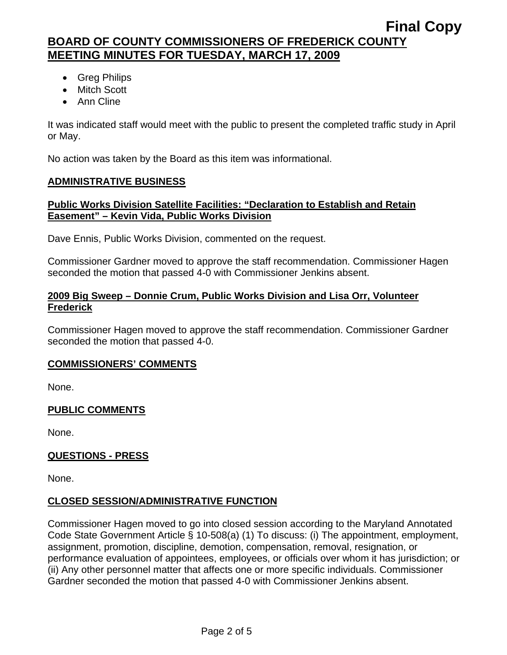- Greg Philips
- Mitch Scott
- Ann Cline

It was indicated staff would meet with the public to present the completed traffic study in April or May.

No action was taken by the Board as this item was informational.

# **ADMINISTRATIVE BUSINESS**

# **Public Works Division Satellite Facilities: "Declaration to Establish and Retain Easement" – Kevin Vida, Public Works Division**

Dave Ennis, Public Works Division, commented on the request.

Commissioner Gardner moved to approve the staff recommendation. Commissioner Hagen seconded the motion that passed 4-0 with Commissioner Jenkins absent.

# **2009 Big Sweep – Donnie Crum, Public Works Division and Lisa Orr, Volunteer Frederick**

Commissioner Hagen moved to approve the staff recommendation. Commissioner Gardner seconded the motion that passed 4-0.

### **COMMISSIONERS' COMMENTS**

None.

# **PUBLIC COMMENTS**

None.

# **QUESTIONS - PRESS**

None.

# **CLOSED SESSION/ADMINISTRATIVE FUNCTION**

Commissioner Hagen moved to go into closed session according to the Maryland Annotated Code State Government Article § 10-508(a) (1) To discuss: (i) The appointment, employment, assignment, promotion, discipline, demotion, compensation, removal, resignation, or performance evaluation of appointees, employees, or officials over whom it has jurisdiction; or (ii) Any other personnel matter that affects one or more specific individuals. Commissioner Gardner seconded the motion that passed 4-0 with Commissioner Jenkins absent.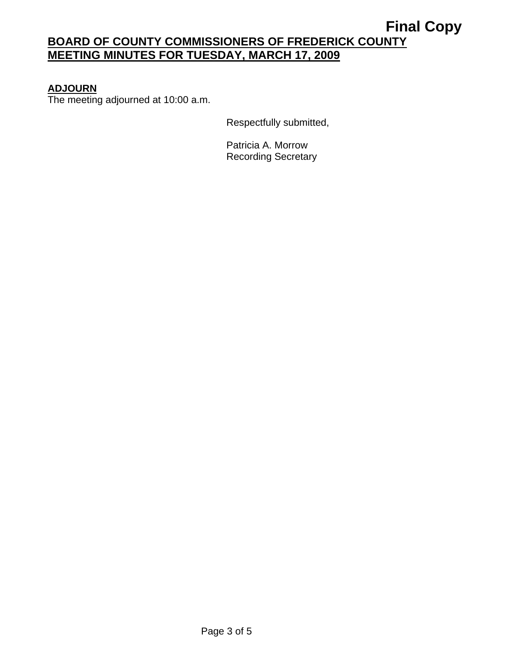# **ADJOURN**

The meeting adjourned at 10:00 a.m.

Respectfully submitted,

Patricia A. Morrow Recording Secretary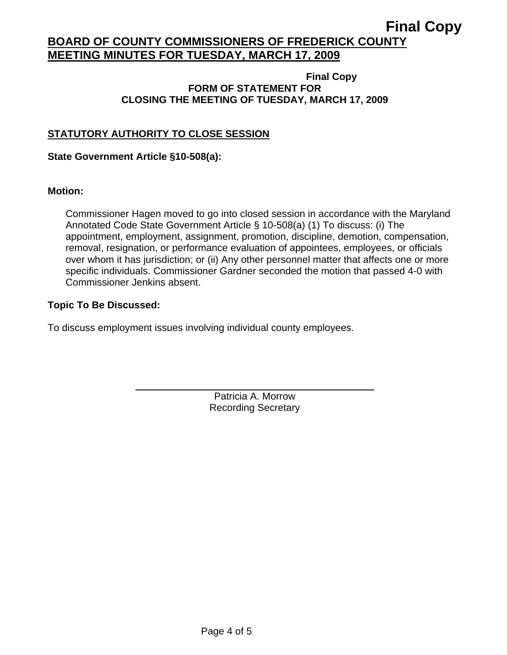#### **Final Copy FORM OF STATEMENT FOR CLOSING THE MEETING OF TUESDAY, MARCH 17, 2009**

# **STATUTORY AUTHORITY TO CLOSE SESSION**

### **State Government Article §10-508(a):**

 $\overline{a}$ 

### **Motion:**

Commissioner Hagen moved to go into closed session in accordance with the Maryland Annotated Code State Government Article § 10-508(a) (1) To discuss: (i) The appointment, employment, assignment, promotion, discipline, demotion, compensation, removal, resignation, or performance evaluation of appointees, employees, or officials over whom it has jurisdiction; or (ii) Any other personnel matter that affects one or more specific individuals. Commissioner Gardner seconded the motion that passed 4-0 with Commissioner Jenkins absent.

### **Topic To Be Discussed:**

To discuss employment issues involving individual county employees.

Patricia A. Morrow Recording Secretary